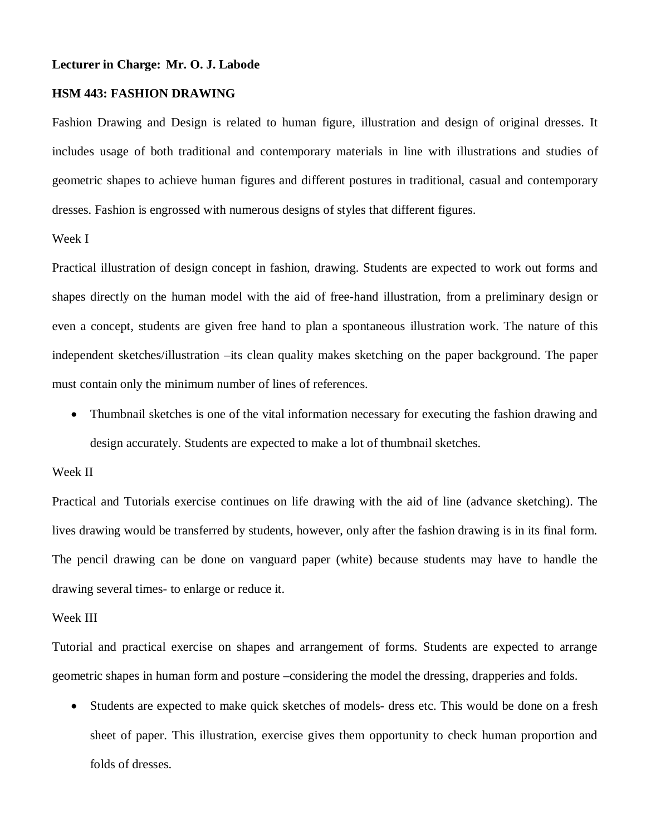#### **Lecturer in Charge: Mr. O. J. Labode**

## **HSM 443: FASHION DRAWING**

Fashion Drawing and Design is related to human figure, illustration and design of original dresses. It includes usage of both traditional and contemporary materials in line with illustrations and studies of geometric shapes to achieve human figures and different postures in traditional, casual and contemporary dresses. Fashion is engrossed with numerous designs of styles that different figures.

### Week I

Practical illustration of design concept in fashion, drawing. Students are expected to work out forms and shapes directly on the human model with the aid of free-hand illustration, from a preliminary design or even a concept, students are given free hand to plan a spontaneous illustration work. The nature of this independent sketches/illustration –its clean quality makes sketching on the paper background. The paper must contain only the minimum number of lines of references.

 Thumbnail sketches is one of the vital information necessary for executing the fashion drawing and design accurately. Students are expected to make a lot of thumbnail sketches.

## Week II

Practical and Tutorials exercise continues on life drawing with the aid of line (advance sketching). The lives drawing would be transferred by students, however, only after the fashion drawing is in its final form. The pencil drawing can be done on vanguard paper (white) because students may have to handle the drawing several times- to enlarge or reduce it.

#### Week III

Tutorial and practical exercise on shapes and arrangement of forms. Students are expected to arrange geometric shapes in human form and posture –considering the model the dressing, drapperies and folds.

 Students are expected to make quick sketches of models- dress etc. This would be done on a fresh sheet of paper. This illustration, exercise gives them opportunity to check human proportion and folds of dresses.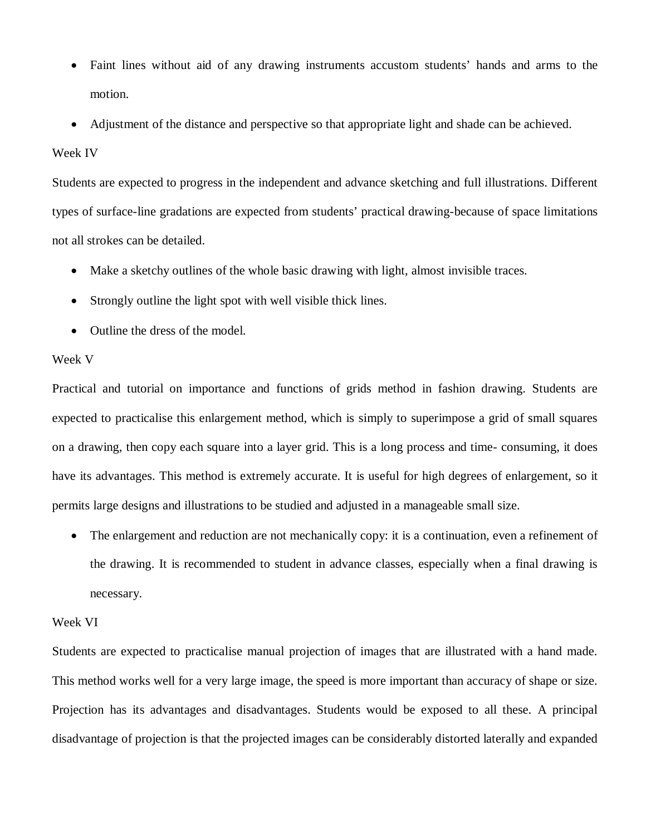- Faint lines without aid of any drawing instruments accustom students' hands and arms to the motion.
- Adjustment of the distance and perspective so that appropriate light and shade can be achieved.

## Week IV

Students are expected to progress in the independent and advance sketching and full illustrations. Different types of surface-line gradations are expected from students' practical drawing-because of space limitations not all strokes can be detailed.

- Make a sketchy outlines of the whole basic drawing with light, almost invisible traces.
- Strongly outline the light spot with well visible thick lines.
- Outline the dress of the model.

# Week V

Practical and tutorial on importance and functions of grids method in fashion drawing. Students are expected to practicalise this enlargement method, which is simply to superimpose a grid of small squares on a drawing, then copy each square into a layer grid. This is a long process and time- consuming, it does have its advantages. This method is extremely accurate. It is useful for high degrees of enlargement, so it permits large designs and illustrations to be studied and adjusted in a manageable small size.

• The enlargement and reduction are not mechanically copy: it is a continuation, even a refinement of the drawing. It is recommended to student in advance classes, especially when a final drawing is necessary.

## Week VI

Students are expected to practicalise manual projection of images that are illustrated with a hand made. This method works well for a very large image, the speed is more important than accuracy of shape or size. Projection has its advantages and disadvantages. Students would be exposed to all these. A principal disadvantage of projection is that the projected images can be considerably distorted laterally and expanded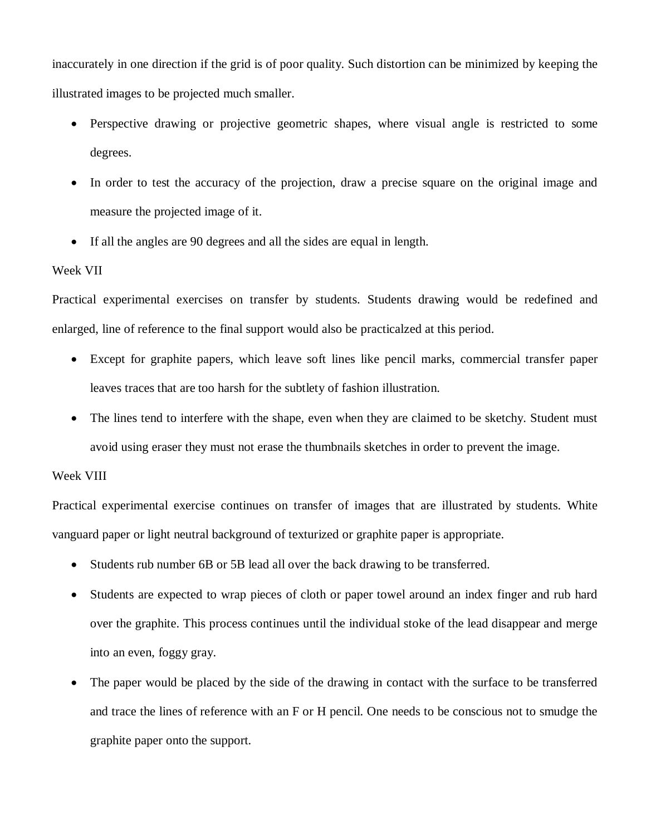inaccurately in one direction if the grid is of poor quality. Such distortion can be minimized by keeping the illustrated images to be projected much smaller.

- Perspective drawing or projective geometric shapes, where visual angle is restricted to some degrees.
- In order to test the accuracy of the projection, draw a precise square on the original image and measure the projected image of it.
- If all the angles are 90 degrees and all the sides are equal in length.

## Week VII

Practical experimental exercises on transfer by students. Students drawing would be redefined and enlarged, line of reference to the final support would also be practicalzed at this period.

- Except for graphite papers, which leave soft lines like pencil marks, commercial transfer paper leaves traces that are too harsh for the subtlety of fashion illustration.
- The lines tend to interfere with the shape, even when they are claimed to be sketchy. Student must avoid using eraser they must not erase the thumbnails sketches in order to prevent the image.

## Week VIII

Practical experimental exercise continues on transfer of images that are illustrated by students. White vanguard paper or light neutral background of texturized or graphite paper is appropriate.

- Students rub number 6B or 5B lead all over the back drawing to be transferred.
- Students are expected to wrap pieces of cloth or paper towel around an index finger and rub hard over the graphite. This process continues until the individual stoke of the lead disappear and merge into an even, foggy gray.
- The paper would be placed by the side of the drawing in contact with the surface to be transferred and trace the lines of reference with an F or H pencil. One needs to be conscious not to smudge the graphite paper onto the support.